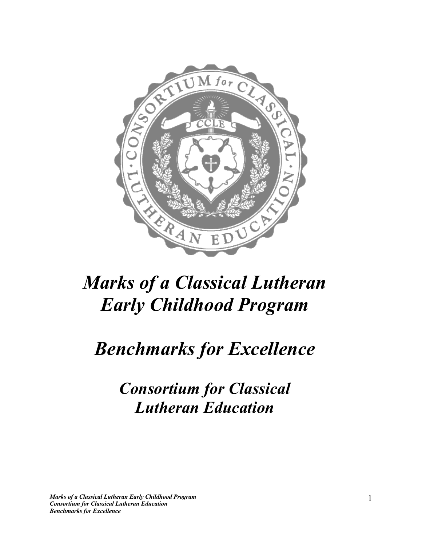

## *Benchmarks for Excellence*

*Consortium for Classical Lutheran Education*

*Marks of a Classical Lutheran Early Childhood Program Consortium for Classical Lutheran Education Benchmarks for Excellence*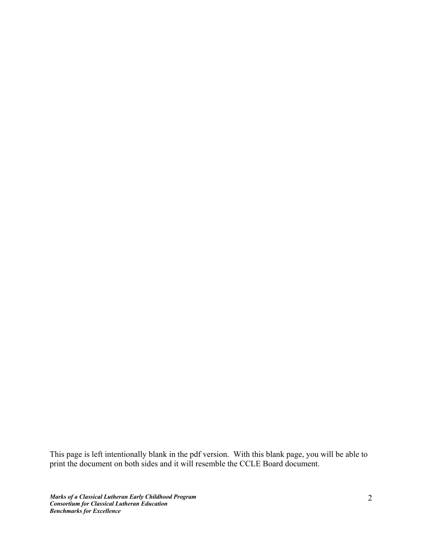This page is left intentionally blank in the pdf version. With this blank page, you will be able to print the document on both sides and it will resemble the CCLE Board document.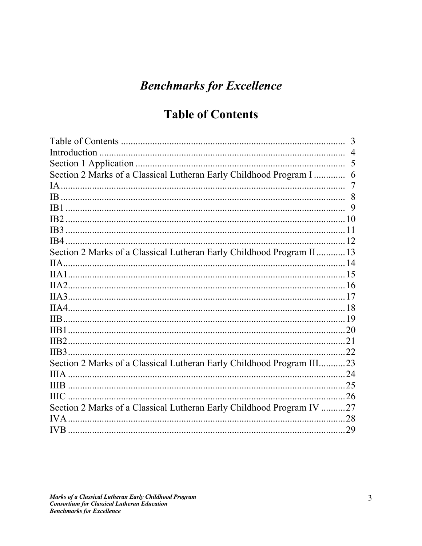## **Benchmarks for Excellence**

## **Table of Contents**

|                                                                       | $\overline{4}$ |
|-----------------------------------------------------------------------|----------------|
|                                                                       | 5              |
| Section 2 Marks of a Classical Lutheran Early Childhood Program I     | 6              |
|                                                                       | $\overline{7}$ |
|                                                                       |                |
|                                                                       | 9              |
|                                                                       |                |
|                                                                       |                |
|                                                                       |                |
| Section 2 Marks of a Classical Lutheran Early Childhood Program II13  |                |
|                                                                       |                |
|                                                                       |                |
|                                                                       |                |
|                                                                       |                |
|                                                                       |                |
|                                                                       |                |
|                                                                       |                |
|                                                                       |                |
|                                                                       |                |
| Section 2 Marks of a Classical Lutheran Early Childhood Program III23 |                |
|                                                                       |                |
|                                                                       |                |
|                                                                       |                |
| Section 2 Marks of a Classical Lutheran Early Childhood Program IV 27 |                |
|                                                                       | .28            |
|                                                                       |                |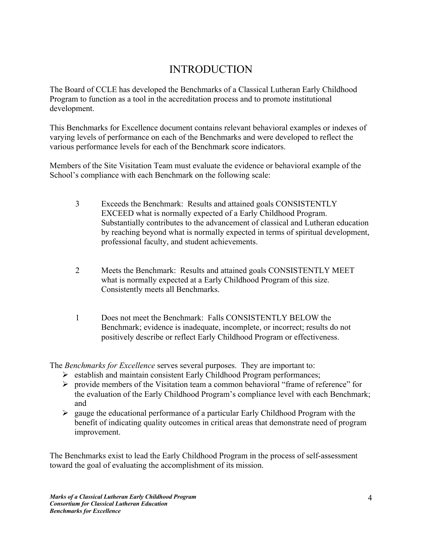#### INTRODUCTION

The Board of CCLE has developed the Benchmarks of a Classical Lutheran Early Childhood Program to function as a tool in the accreditation process and to promote institutional development.

This Benchmarks for Excellence document contains relevant behavioral examples or indexes of varying levels of performance on each of the Benchmarks and were developed to reflect the various performance levels for each of the Benchmark score indicators.

Members of the Site Visitation Team must evaluate the evidence or behavioral example of the School's compliance with each Benchmark on the following scale:

- 3 Exceeds the Benchmark: Results and attained goals CONSISTENTLY EXCEED what is normally expected of a Early Childhood Program. Substantially contributes to the advancement of classical and Lutheran education by reaching beyond what is normally expected in terms of spiritual development, professional faculty, and student achievements.
- 2 Meets the Benchmark: Results and attained goals CONSISTENTLY MEET what is normally expected at a Early Childhood Program of this size. Consistently meets all Benchmarks.
- 1 Does not meet the Benchmark: Falls CONSISTENTLY BELOW the Benchmark; evidence is inadequate, incomplete, or incorrect; results do not positively describe or reflect Early Childhood Program or effectiveness.

The *Benchmarks for Excellence* serves several purposes. They are important to:

- Ø establish and maintain consistent Early Childhood Program performances;
- $\triangleright$  provide members of the Visitation team a common behavioral "frame of reference" for the evaluation of the Early Childhood Program's compliance level with each Benchmark; and
- $\triangleright$  gauge the educational performance of a particular Early Childhood Program with the benefit of indicating quality outcomes in critical areas that demonstrate need of program improvement.

The Benchmarks exist to lead the Early Childhood Program in the process of self-assessment toward the goal of evaluating the accomplishment of its mission.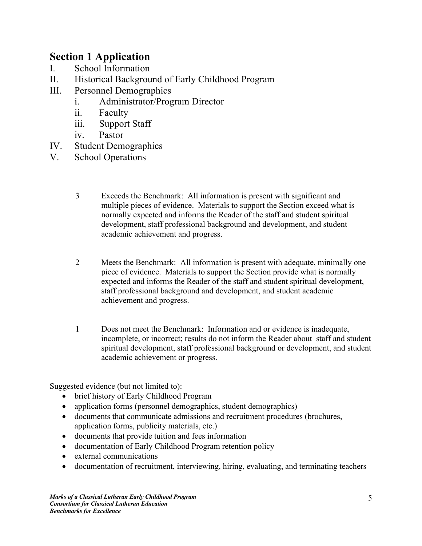#### **Section 1 Application**

- I. School Information
- II. Historical Background of Early Childhood Program
- III. Personnel Demographics
	- i. Administrator/Program Director
	- ii. Faculty
	- iii. Support Staff
	- iv. Pastor
- IV. Student Demographics
- V. School Operations
	- 3 Exceeds the Benchmark: All information is present with significant and multiple pieces of evidence. Materials to support the Section exceed what is normally expected and informs the Reader of the staff and student spiritual development, staff professional background and development, and student academic achievement and progress.
	- 2 Meets the Benchmark: All information is present with adequate, minimally one piece of evidence. Materials to support the Section provide what is normally expected and informs the Reader of the staff and student spiritual development, staff professional background and development, and student academic achievement and progress.
	- 1 Does not meet the Benchmark: Information and or evidence is inadequate, incomplete, or incorrect; results do not inform the Reader about staff and student spiritual development, staff professional background or development, and student academic achievement or progress.

- brief history of Early Childhood Program
- application forms (personnel demographics, student demographics)
- documents that communicate admissions and recruitment procedures (brochures, application forms, publicity materials, etc.)
- documents that provide tuition and fees information
- documentation of Early Childhood Program retention policy
- external communications
- documentation of recruitment, interviewing, hiring, evaluating, and terminating teachers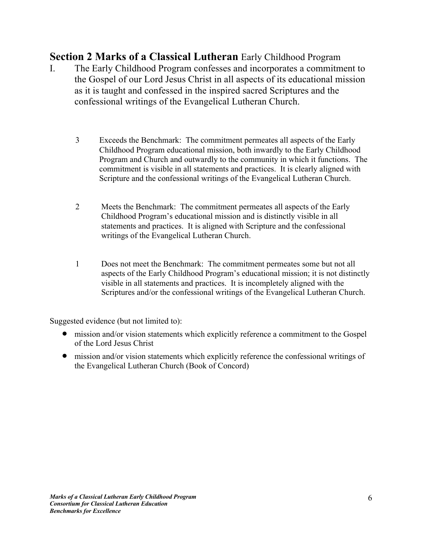- I. The Early Childhood Program confesses and incorporates a commitment to the Gospel of our Lord Jesus Christ in all aspects of its educational mission as it is taught and confessed in the inspired sacred Scriptures and the confessional writings of the Evangelical Lutheran Church.
	- 3 Exceeds the Benchmark: The commitment permeates all aspects of the Early Childhood Program educational mission, both inwardly to the Early Childhood Program and Church and outwardly to the community in which it functions. The commitment is visible in all statements and practices. It is clearly aligned with Scripture and the confessional writings of the Evangelical Lutheran Church.
	- 2 Meets the Benchmark: The commitment permeates all aspects of the Early Childhood Program's educational mission and is distinctly visible in all statements and practices. It is aligned with Scripture and the confessional writings of the Evangelical Lutheran Church.
	- 1 Does not meet the Benchmark: The commitment permeates some but not all aspects of the Early Childhood Program's educational mission; it is not distinctly visible in all statements and practices. It is incompletely aligned with the Scriptures and/or the confessional writings of the Evangelical Lutheran Church.

- mission and/or vision statements which explicitly reference a commitment to the Gospel of the Lord Jesus Christ
- mission and/or vision statements which explicitly reference the confessional writings of the Evangelical Lutheran Church (Book of Concord)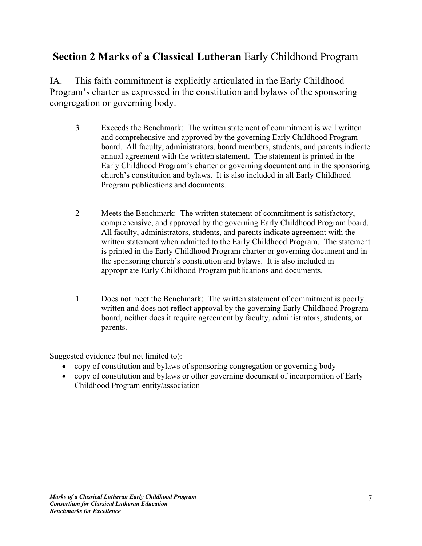IA. This faith commitment is explicitly articulated in the Early Childhood Program's charter as expressed in the constitution and bylaws of the sponsoring congregation or governing body.

- 3 Exceeds the Benchmark: The written statement of commitment is well written and comprehensive and approved by the governing Early Childhood Program board. All faculty, administrators, board members, students, and parents indicate annual agreement with the written statement. The statement is printed in the Early Childhood Program's charter or governing document and in the sponsoring church's constitution and bylaws. It is also included in all Early Childhood Program publications and documents.
- 2 Meets the Benchmark: The written statement of commitment is satisfactory, comprehensive, and approved by the governing Early Childhood Program board. All faculty, administrators, students, and parents indicate agreement with the written statement when admitted to the Early Childhood Program. The statement is printed in the Early Childhood Program charter or governing document and in the sponsoring church's constitution and bylaws. It is also included in appropriate Early Childhood Program publications and documents.
- 1 Does not meet the Benchmark: The written statement of commitment is poorly written and does not reflect approval by the governing Early Childhood Program board, neither does it require agreement by faculty, administrators, students, or parents.

- copy of constitution and bylaws of sponsoring congregation or governing body
- copy of constitution and bylaws or other governing document of incorporation of Early Childhood Program entity/association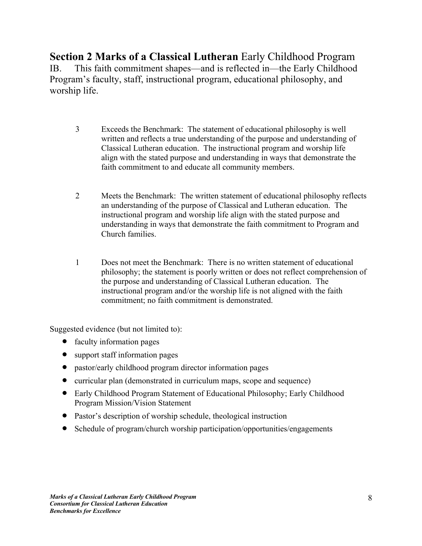**Section 2 Marks of a Classical Lutheran** Early Childhood Program IB. This faith commitment shapes—and is reflected in—the Early Childhood Program's faculty, staff, instructional program, educational philosophy, and worship life.

- 3 Exceeds the Benchmark: The statement of educational philosophy is well written and reflects a true understanding of the purpose and understanding of Classical Lutheran education. The instructional program and worship life align with the stated purpose and understanding in ways that demonstrate the faith commitment to and educate all community members.
- 2 Meets the Benchmark: The written statement of educational philosophy reflects an understanding of the purpose of Classical and Lutheran education. The instructional program and worship life align with the stated purpose and understanding in ways that demonstrate the faith commitment to Program and Church families.
- 1 Does not meet the Benchmark: There is no written statement of educational philosophy; the statement is poorly written or does not reflect comprehension of the purpose and understanding of Classical Lutheran education. The instructional program and/or the worship life is not aligned with the faith commitment; no faith commitment is demonstrated.

- faculty information pages
- support staff information pages
- pastor/early childhood program director information pages
- curricular plan (demonstrated in curriculum maps, scope and sequence)
- Early Childhood Program Statement of Educational Philosophy; Early Childhood Program Mission/Vision Statement
- Pastor's description of worship schedule, theological instruction
- Schedule of program/church worship participation/opportunities/engagements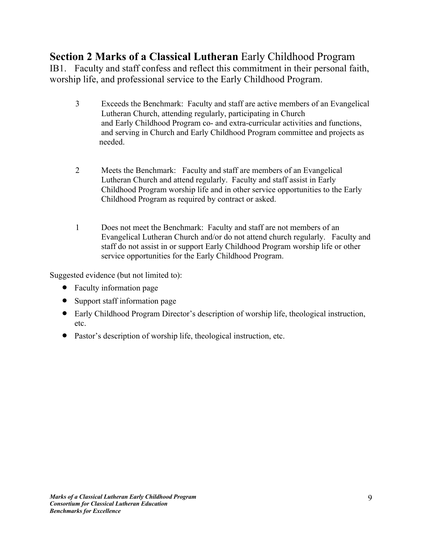IB1. Faculty and staff confess and reflect this commitment in their personal faith, worship life, and professional service to the Early Childhood Program.

- 3 Exceeds the Benchmark: Faculty and staff are active members of an Evangelical Lutheran Church, attending regularly, participating in Church and Early Childhood Program co- and extra-curricular activities and functions, and serving in Church and Early Childhood Program committee and projects as needed.
- 2 Meets the Benchmark: Faculty and staff are members of an Evangelical Lutheran Church and attend regularly. Faculty and staff assist in Early Childhood Program worship life and in other service opportunities to the Early Childhood Program as required by contract or asked.
- 1 Does not meet the Benchmark: Faculty and staff are not members of an Evangelical Lutheran Church and/or do not attend church regularly. Faculty and staff do not assist in or support Early Childhood Program worship life or other service opportunities for the Early Childhood Program.

- Faculty information page
- Support staff information page
- Early Childhood Program Director's description of worship life, theological instruction, etc.
- Pastor's description of worship life, theological instruction, etc.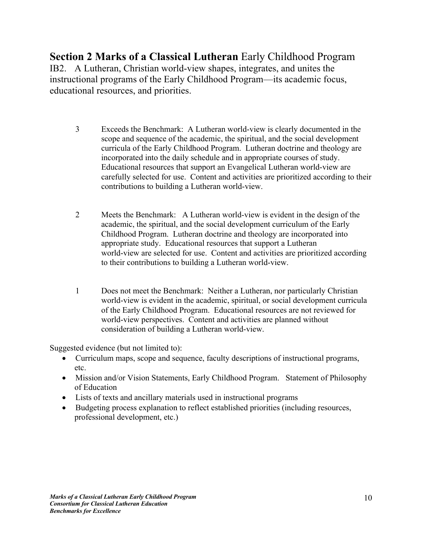**Section 2 Marks of a Classical Lutheran** Early Childhood Program IB2. A Lutheran, Christian world-view shapes, integrates, and unites the instructional programs of the Early Childhood Program—its academic focus, educational resources, and priorities.

- 3 Exceeds the Benchmark: A Lutheran world-view is clearly documented in the scope and sequence of the academic, the spiritual, and the social development curricula of the Early Childhood Program. Lutheran doctrine and theology are incorporated into the daily schedule and in appropriate courses of study. Educational resources that support an Evangelical Lutheran world-view are carefully selected for use. Content and activities are prioritized according to their contributions to building a Lutheran world-view.
- 2 Meets the Benchmark: A Lutheran world-view is evident in the design of the academic, the spiritual, and the social development curriculum of the Early Childhood Program. Lutheran doctrine and theology are incorporated into appropriate study. Educational resources that support a Lutheran world-view are selected for use. Content and activities are prioritized according to their contributions to building a Lutheran world-view.
- 1 Does not meet the Benchmark: Neither a Lutheran, nor particularly Christian world-view is evident in the academic, spiritual, or social development curricula of the Early Childhood Program. Educational resources are not reviewed for world-view perspectives. Content and activities are planned without consideration of building a Lutheran world-view.

- Curriculum maps, scope and sequence, faculty descriptions of instructional programs, etc.
- Mission and/or Vision Statements, Early Childhood Program. Statement of Philosophy of Education
- Lists of texts and ancillary materials used in instructional programs
- Budgeting process explanation to reflect established priorities (including resources, professional development, etc.)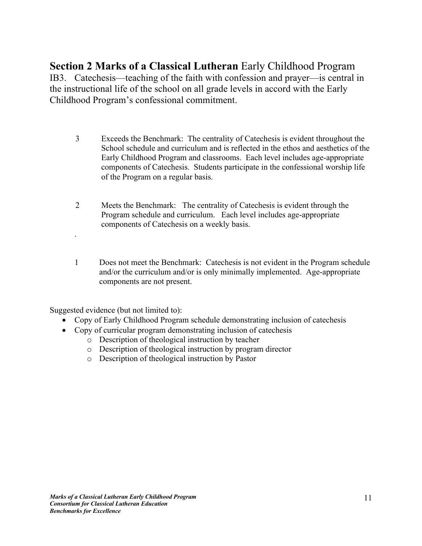**Section 2 Marks of a Classical Lutheran** Early Childhood Program IB3. Catechesis—teaching of the faith with confession and prayer—is central in the instructional life of the school on all grade levels in accord with the Early Childhood Program's confessional commitment.

- 3 Exceeds the Benchmark: The centrality of Catechesis is evident throughout the School schedule and curriculum and is reflected in the ethos and aesthetics of the Early Childhood Program and classrooms. Each level includes age-appropriate components of Catechesis. Students participate in the confessional worship life of the Program on a regular basis.
- 2 Meets the Benchmark: The centrality of Catechesis is evident through the Program schedule and curriculum. Each level includes age-appropriate components of Catechesis on a weekly basis.
- 1 Does not meet the Benchmark: Catechesis is not evident in the Program schedule and/or the curriculum and/or is only minimally implemented. Age-appropriate components are not present.

Suggested evidence (but not limited to):

.

- Copy of Early Childhood Program schedule demonstrating inclusion of catechesis
- Copy of curricular program demonstrating inclusion of catechesis
	- o Description of theological instruction by teacher
	- o Description of theological instruction by program director
	- o Description of theological instruction by Pastor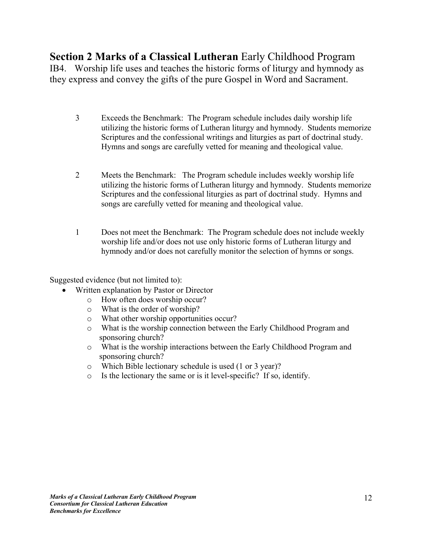**Section 2 Marks of a Classical Lutheran** Early Childhood Program IB4. Worship life uses and teaches the historic forms of liturgy and hymnody as they express and convey the gifts of the pure Gospel in Word and Sacrament.

- 3 Exceeds the Benchmark: The Program schedule includes daily worship life utilizing the historic forms of Lutheran liturgy and hymnody. Students memorize Scriptures and the confessional writings and liturgies as part of doctrinal study. Hymns and songs are carefully vetted for meaning and theological value.
- 2 Meets the Benchmark: The Program schedule includes weekly worship life utilizing the historic forms of Lutheran liturgy and hymnody. Students memorize Scriptures and the confessional liturgies as part of doctrinal study. Hymns and songs are carefully vetted for meaning and theological value.
- 1 Does not meet the Benchmark: The Program schedule does not include weekly worship life and/or does not use only historic forms of Lutheran liturgy and hymnody and/or does not carefully monitor the selection of hymns or songs.

- Written explanation by Pastor or Director
	- o How often does worship occur?
	- o What is the order of worship?
	- o What other worship opportunities occur?
	- o What is the worship connection between the Early Childhood Program and sponsoring church?
	- o What is the worship interactions between the Early Childhood Program and sponsoring church?
	- o Which Bible lectionary schedule is used (1 or 3 year)?
	- o Is the lectionary the same or is it level-specific? If so, identify.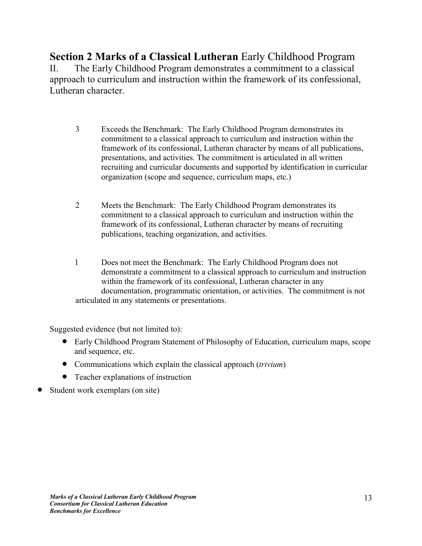**Section 2 Marks of a Classical Lutheran** Early Childhood Program II. The Early Childhood Program demonstrates a commitment to a classical approach to curriculum and instruction within the framework of its confessional, Lutheran character.

- 3 Exceeds the Benchmark: The Early Childhood Program demonstrates its commitment to a classical approach to curriculum and instruction within the framework of its confessional, Lutheran character by means of all publications, presentations, and activities. The commitment is articulated in all written recruiting and curricular documents and supported by identification in curricular organization (scope and sequence, curriculum maps, etc.)
- 2 Meets the Benchmark: The Early Childhood Program demonstrates its commitment to a classical approach to curriculum and instruction within the framework of its confessional, Lutheran character by means of recruiting publications, teaching organization, and activities.
- 1 Does not meet the Benchmark: The Early Childhood Program does not demonstrate a commitment to a classical approach to curriculum and instruction within the framework of its confessional, Lutheran character in any documentation, programmatic orientation, or activities. The commitment is not articulated in any statements or presentations.

- Early Childhood Program Statement of Philosophy of Education, curriculum maps, scope and sequence, etc.
- Communications which explain the classical approach (*trivium*)
- Teacher explanations of instruction
- Student work exemplars (on site)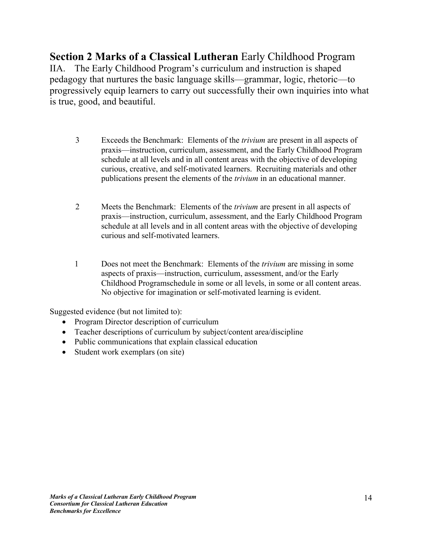**Section 2 Marks of a Classical Lutheran** Early Childhood Program IIA. The Early Childhood Program's curriculum and instruction is shaped pedagogy that nurtures the basic language skills—grammar, logic, rhetoric—to progressively equip learners to carry out successfully their own inquiries into what is true, good, and beautiful.

- 3 Exceeds the Benchmark: Elements of the *trivium* are present in all aspects of praxis—instruction, curriculum, assessment, and the Early Childhood Program schedule at all levels and in all content areas with the objective of developing curious, creative, and self-motivated learners. Recruiting materials and other publications present the elements of the *trivium* in an educational manner.
- 2 Meets the Benchmark: Elements of the *trivium* are present in all aspects of praxis—instruction, curriculum, assessment, and the Early Childhood Program schedule at all levels and in all content areas with the objective of developing curious and self-motivated learners.
- 1 Does not meet the Benchmark: Elements of the *trivium* are missing in some aspects of praxis—instruction, curriculum, assessment, and/or the Early Childhood Programschedule in some or all levels, in some or all content areas. No objective for imagination or self-motivated learning is evident.

- Program Director description of curriculum
- Teacher descriptions of curriculum by subject/content area/discipline
- Public communications that explain classical education
- Student work exemplars (on site)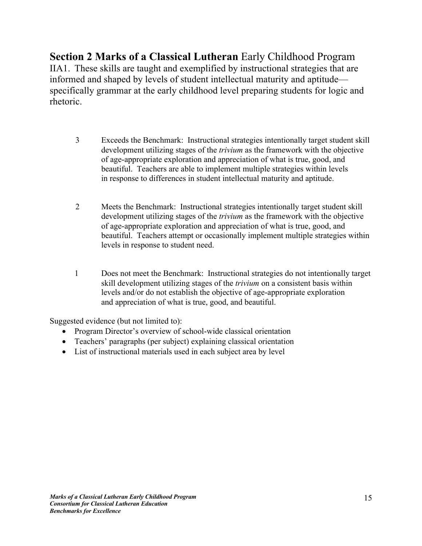**Section 2 Marks of a Classical Lutheran** Early Childhood Program IIA1. These skills are taught and exemplified by instructional strategies that are informed and shaped by levels of student intellectual maturity and aptitude specifically grammar at the early childhood level preparing students for logic and rhetoric.

- 3 Exceeds the Benchmark: Instructional strategies intentionally target student skill development utilizing stages of the *trivium* as the framework with the objective of age-appropriate exploration and appreciation of what is true, good, and beautiful. Teachers are able to implement multiple strategies within levels in response to differences in student intellectual maturity and aptitude.
- 2 Meets the Benchmark: Instructional strategies intentionally target student skill development utilizing stages of the *trivium* as the framework with the objective of age-appropriate exploration and appreciation of what is true, good, and beautiful. Teachers attempt or occasionally implement multiple strategies within levels in response to student need.
- 1 Does not meet the Benchmark: Instructional strategies do not intentionally target skill development utilizing stages of the *trivium* on a consistent basis within levels and/or do not establish the objective of age-appropriate exploration and appreciation of what is true, good, and beautiful.

- Program Director's overview of school-wide classical orientation
- Teachers' paragraphs (per subject) explaining classical orientation
- List of instructional materials used in each subject area by level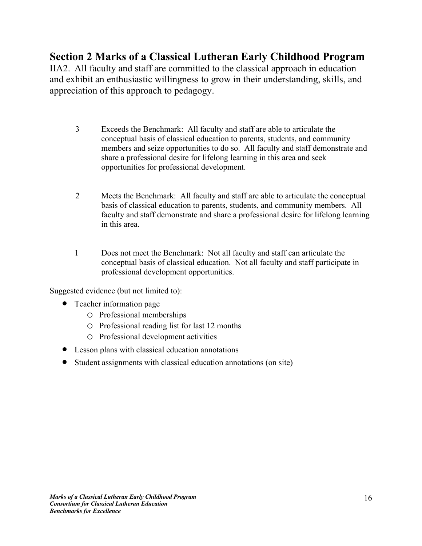IIA2. All faculty and staff are committed to the classical approach in education and exhibit an enthusiastic willingness to grow in their understanding, skills, and appreciation of this approach to pedagogy.

- 3 Exceeds the Benchmark: All faculty and staff are able to articulate the conceptual basis of classical education to parents, students, and community members and seize opportunities to do so. All faculty and staff demonstrate and share a professional desire for lifelong learning in this area and seek opportunities for professional development.
- 2 Meets the Benchmark: All faculty and staff are able to articulate the conceptual basis of classical education to parents, students, and community members. All faculty and staff demonstrate and share a professional desire for lifelong learning in this area.
- 1 Does not meet the Benchmark: Not all faculty and staff can articulate the conceptual basis of classical education. Not all faculty and staff participate in professional development opportunities.

- Teacher information page
	- o Professional memberships
	- o Professional reading list for last 12 months
	- o Professional development activities
- Lesson plans with classical education annotations
- Student assignments with classical education annotations (on site)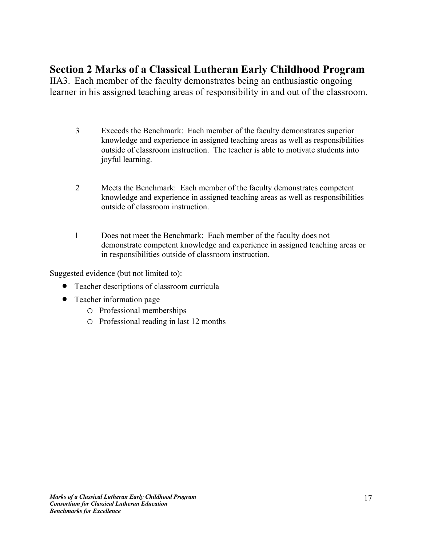IIA3. Each member of the faculty demonstrates being an enthusiastic ongoing learner in his assigned teaching areas of responsibility in and out of the classroom.

- 3 Exceeds the Benchmark: Each member of the faculty demonstrates superior knowledge and experience in assigned teaching areas as well as responsibilities outside of classroom instruction. The teacher is able to motivate students into joyful learning.
- 2 Meets the Benchmark: Each member of the faculty demonstrates competent knowledge and experience in assigned teaching areas as well as responsibilities outside of classroom instruction.
- 1 Does not meet the Benchmark: Each member of the faculty does not demonstrate competent knowledge and experience in assigned teaching areas or in responsibilities outside of classroom instruction.

- Teacher descriptions of classroom curricula
- Teacher information page
	- o Professional memberships
	- o Professional reading in last 12 months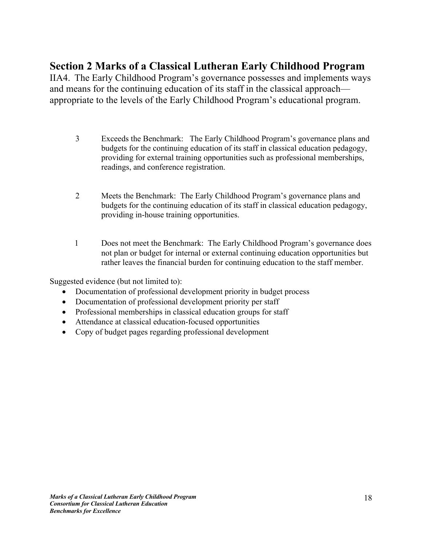IIA4. The Early Childhood Program's governance possesses and implements ways and means for the continuing education of its staff in the classical approach appropriate to the levels of the Early Childhood Program's educational program.

- 3 Exceeds the Benchmark: The Early Childhood Program's governance plans and budgets for the continuing education of its staff in classical education pedagogy, providing for external training opportunities such as professional memberships, readings, and conference registration.
- 2 Meets the Benchmark: The Early Childhood Program's governance plans and budgets for the continuing education of its staff in classical education pedagogy, providing in-house training opportunities.
- 1 Does not meet the Benchmark: The Early Childhood Program's governance does not plan or budget for internal or external continuing education opportunities but rather leaves the financial burden for continuing education to the staff member.

- Documentation of professional development priority in budget process
- Documentation of professional development priority per staff
- Professional memberships in classical education groups for staff
- Attendance at classical education-focused opportunities
- Copy of budget pages regarding professional development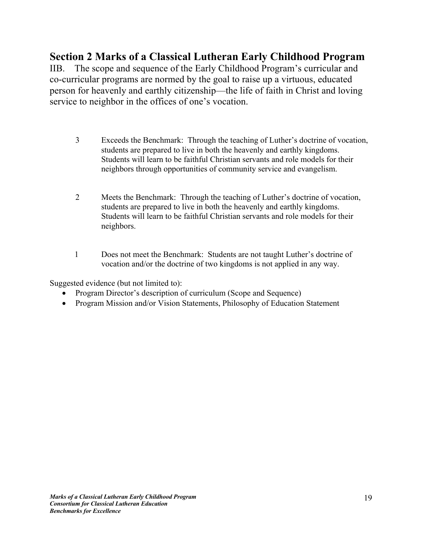IIB. The scope and sequence of the Early Childhood Program's curricular and co-curricular programs are normed by the goal to raise up a virtuous, educated person for heavenly and earthly citizenship—the life of faith in Christ and loving service to neighbor in the offices of one's vocation.

- 3 Exceeds the Benchmark: Through the teaching of Luther's doctrine of vocation, students are prepared to live in both the heavenly and earthly kingdoms. Students will learn to be faithful Christian servants and role models for their neighbors through opportunities of community service and evangelism.
- 2 Meets the Benchmark: Through the teaching of Luther's doctrine of vocation, students are prepared to live in both the heavenly and earthly kingdoms. Students will learn to be faithful Christian servants and role models for their neighbors.
- 1 Does not meet the Benchmark: Students are not taught Luther's doctrine of vocation and/or the doctrine of two kingdoms is not applied in any way.

- Program Director's description of curriculum (Scope and Sequence)
- Program Mission and/or Vision Statements, Philosophy of Education Statement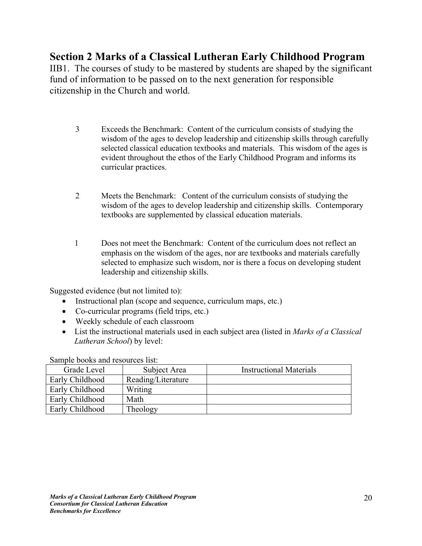IIB1. The courses of study to be mastered by students are shaped by the significant fund of information to be passed on to the next generation for responsible citizenship in the Church and world.

- 3 Exceeds the Benchmark: Content of the curriculum consists of studying the wisdom of the ages to develop leadership and citizenship skills through carefully selected classical education textbooks and materials. This wisdom of the ages is evident throughout the ethos of the Early Childhood Program and informs its curricular practices.
- 2 Meets the Benchmark: Content of the curriculum consists of studying the wisdom of the ages to develop leadership and citizenship skills. Contemporary textbooks are supplemented by classical education materials.
- 1 Does not meet the Benchmark: Content of the curriculum does not reflect an emphasis on the wisdom of the ages, nor are textbooks and materials carefully selected to emphasize such wisdom, nor is there a focus on developing student leadership and citizenship skills.

Suggested evidence (but not limited to):

- Instructional plan (scope and sequence, curriculum maps, etc.)
- Co-curricular programs (field trips, etc.)
- Weekly schedule of each classroom
- List the instructional materials used in each subject area (listed in *Marks of a Classical Lutheran School*) by level:

Sample books and resources list:

| Grade Level     | Subject Area       | <b>Instructional Materials</b> |
|-----------------|--------------------|--------------------------------|
| Early Childhood | Reading/Literature |                                |
| Early Childhood | Writing            |                                |
| Early Childhood | Math               |                                |
| Early Childhood | Theology           |                                |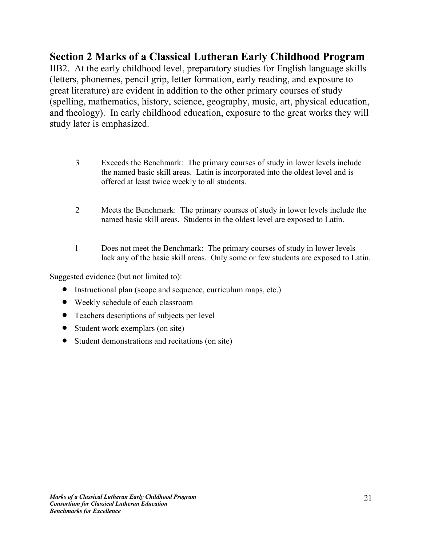IIB2. At the early childhood level, preparatory studies for English language skills (letters, phonemes, pencil grip, letter formation, early reading, and exposure to great literature) are evident in addition to the other primary courses of study (spelling, mathematics, history, science, geography, music, art, physical education, and theology). In early childhood education, exposure to the great works they will study later is emphasized.

- 3 Exceeds the Benchmark: The primary courses of study in lower levels include the named basic skill areas. Latin is incorporated into the oldest level and is offered at least twice weekly to all students.
- 2 Meets the Benchmark: The primary courses of study in lower levels include the named basic skill areas. Students in the oldest level are exposed to Latin.
- 1 Does not meet the Benchmark: The primary courses of study in lower levels lack any of the basic skill areas. Only some or few students are exposed to Latin.

- Instructional plan (scope and sequence, curriculum maps, etc.)
- Weekly schedule of each classroom
- Teachers descriptions of subjects per level
- Student work exemplars (on site)
- Student demonstrations and recitations (on site)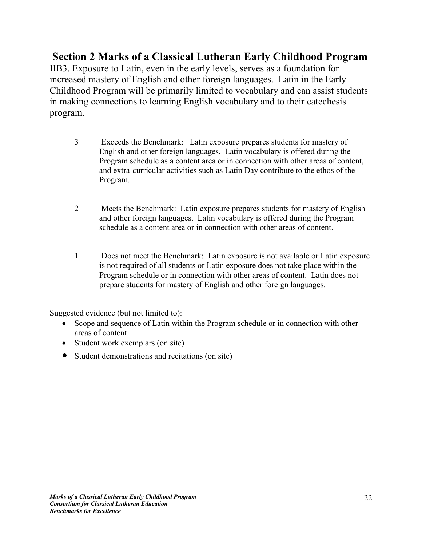IIB3. Exposure to Latin, even in the early levels, serves as a foundation for increased mastery of English and other foreign languages. Latin in the Early Childhood Program will be primarily limited to vocabulary and can assist students in making connections to learning English vocabulary and to their catechesis program.

- 3 Exceeds the Benchmark: Latin exposure prepares students for mastery of English and other foreign languages. Latin vocabulary is offered during the Program schedule as a content area or in connection with other areas of content, and extra-curricular activities such as Latin Day contribute to the ethos of the Program.
- 2 Meets the Benchmark: Latin exposure prepares students for mastery of English and other foreign languages. Latin vocabulary is offered during the Program schedule as a content area or in connection with other areas of content.
- 1 Does not meet the Benchmark: Latin exposure is not available or Latin exposure is not required of all students or Latin exposure does not take place within the Program schedule or in connection with other areas of content. Latin does not prepare students for mastery of English and other foreign languages.

- Scope and sequence of Latin within the Program schedule or in connection with other areas of content
- Student work exemplars (on site)
- Student demonstrations and recitations (on site)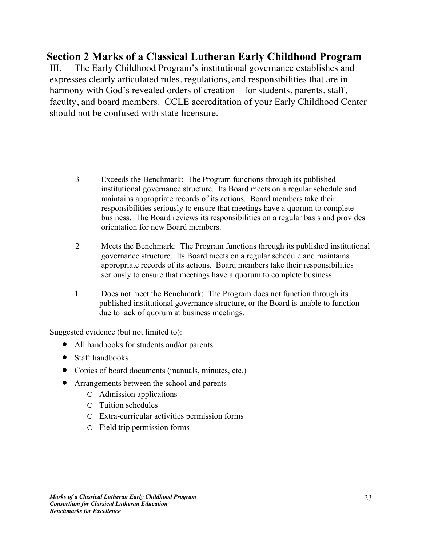III. The Early Childhood Program's institutional governance establishes and expresses clearly articulated rules, regulations, and responsibilities that are in harmony with God's revealed orders of creation—for students, parents, staff, faculty, and board members. CCLE accreditation of your Early Childhood Center should not be confused with state licensure.

- 3 Exceeds the Benchmark: The Program functions through its published institutional governance structure. Its Board meets on a regular schedule and maintains appropriate records of its actions. Board members take their responsibilities seriously to ensure that meetings have a quorum to complete business. The Board reviews its responsibilities on a regular basis and provides orientation for new Board members.
- 2 Meets the Benchmark: The Program functions through its published institutional governance structure. Its Board meets on a regular schedule and maintains appropriate records of its actions. Board members take their responsibilities seriously to ensure that meetings have a quorum to complete business.
- 1 Does not meet the Benchmark: The Program does not function through its published institutional governance structure, or the Board is unable to function due to lack of quorum at business meetings.

- All handbooks for students and/or parents
- Staff handbooks
- Copies of board documents (manuals, minutes, etc.)
- Arrangements between the school and parents
	- o Admission applications
	- o Tuition schedules
	- o Extra-curricular activities permission forms
	- o Field trip permission forms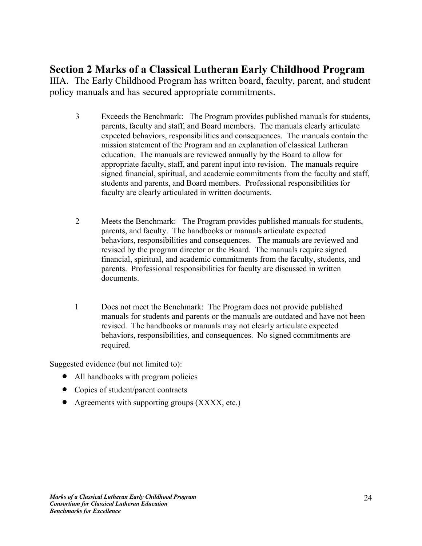IIIA. The Early Childhood Program has written board, faculty, parent, and student policy manuals and has secured appropriate commitments.

- 3 Exceeds the Benchmark: The Program provides published manuals for students, parents, faculty and staff, and Board members. The manuals clearly articulate expected behaviors, responsibilities and consequences. The manuals contain the mission statement of the Program and an explanation of classical Lutheran education. The manuals are reviewed annually by the Board to allow for appropriate faculty, staff, and parent input into revision. The manuals require signed financial, spiritual, and academic commitments from the faculty and staff, students and parents, and Board members. Professional responsibilities for faculty are clearly articulated in written documents.
- 2 Meets the Benchmark: The Program provides published manuals for students, parents, and faculty. The handbooks or manuals articulate expected behaviors, responsibilities and consequences. The manuals are reviewed and revised by the program director or the Board. The manuals require signed financial, spiritual, and academic commitments from the faculty, students, and parents. Professional responsibilities for faculty are discussed in written documents.
- 1 Does not meet the Benchmark: The Program does not provide published manuals for students and parents or the manuals are outdated and have not been revised. The handbooks or manuals may not clearly articulate expected behaviors, responsibilities, and consequences. No signed commitments are required.

- All handbooks with program policies
- Copies of student/parent contracts
- Agreements with supporting groups (XXXX, etc.)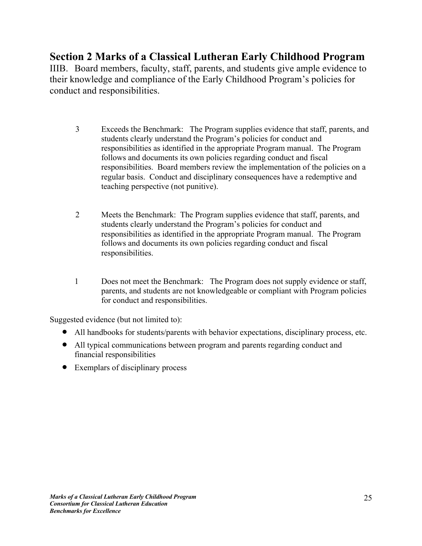IIIB. Board members, faculty, staff, parents, and students give ample evidence to their knowledge and compliance of the Early Childhood Program's policies for conduct and responsibilities.

- 3 Exceeds the Benchmark: The Program supplies evidence that staff, parents, and students clearly understand the Program's policies for conduct and responsibilities as identified in the appropriate Program manual. The Program follows and documents its own policies regarding conduct and fiscal responsibilities. Board members review the implementation of the policies on a regular basis. Conduct and disciplinary consequences have a redemptive and teaching perspective (not punitive).
- 2 Meets the Benchmark: The Program supplies evidence that staff, parents, and students clearly understand the Program's policies for conduct and responsibilities as identified in the appropriate Program manual. The Program follows and documents its own policies regarding conduct and fiscal responsibilities.
- 1 Does not meet the Benchmark: The Program does not supply evidence or staff, parents, and students are not knowledgeable or compliant with Program policies for conduct and responsibilities.

- All handbooks for students/parents with behavior expectations, disciplinary process, etc.
- All typical communications between program and parents regarding conduct and financial responsibilities
- Exemplars of disciplinary process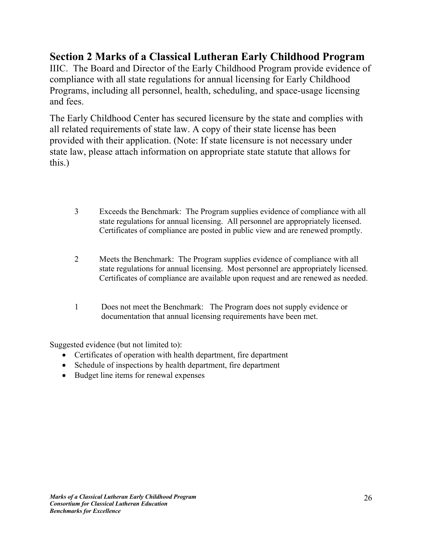IIIC. The Board and Director of the Early Childhood Program provide evidence of compliance with all state regulations for annual licensing for Early Childhood Programs, including all personnel, health, scheduling, and space-usage licensing and fees.

The Early Childhood Center has secured licensure by the state and complies with all related requirements of state law. A copy of their state license has been provided with their application. (Note: If state licensure is not necessary under state law, please attach information on appropriate state statute that allows for this.)

- 3 Exceeds the Benchmark: The Program supplies evidence of compliance with all state regulations for annual licensing. All personnel are appropriately licensed. Certificates of compliance are posted in public view and are renewed promptly.
- 2 Meets the Benchmark: The Program supplies evidence of compliance with all state regulations for annual licensing. Most personnel are appropriately licensed. Certificates of compliance are available upon request and are renewed as needed.
- 1 Does not meet the Benchmark: The Program does not supply evidence or documentation that annual licensing requirements have been met.

- Certificates of operation with health department, fire department
- Schedule of inspections by health department, fire department
- Budget line items for renewal expenses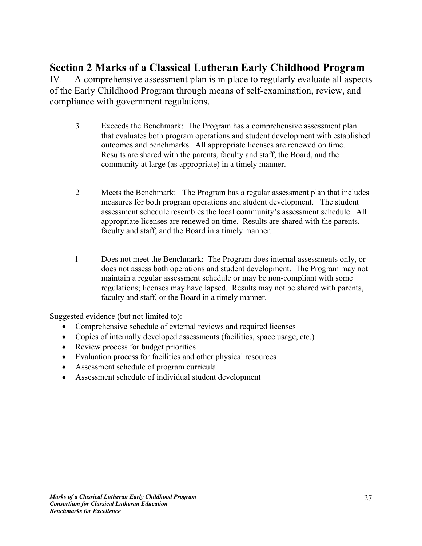IV. A comprehensive assessment plan is in place to regularly evaluate all aspects of the Early Childhood Program through means of self-examination, review, and compliance with government regulations.

- 3 Exceeds the Benchmark: The Program has a comprehensive assessment plan that evaluates both program operations and student development with established outcomes and benchmarks. All appropriate licenses are renewed on time. Results are shared with the parents, faculty and staff, the Board, and the community at large (as appropriate) in a timely manner.
- 2 Meets the Benchmark: The Program has a regular assessment plan that includes measures for both program operations and student development. The student assessment schedule resembles the local community's assessment schedule. All appropriate licenses are renewed on time. Results are shared with the parents, faculty and staff, and the Board in a timely manner.
- 1 Does not meet the Benchmark: The Program does internal assessments only, or does not assess both operations and student development. The Program may not maintain a regular assessment schedule or may be non-compliant with some regulations; licenses may have lapsed. Results may not be shared with parents, faculty and staff, or the Board in a timely manner.

- Comprehensive schedule of external reviews and required licenses
- Copies of internally developed assessments (facilities, space usage, etc.)
- Review process for budget priorities
- Evaluation process for facilities and other physical resources
- Assessment schedule of program curricula
- Assessment schedule of individual student development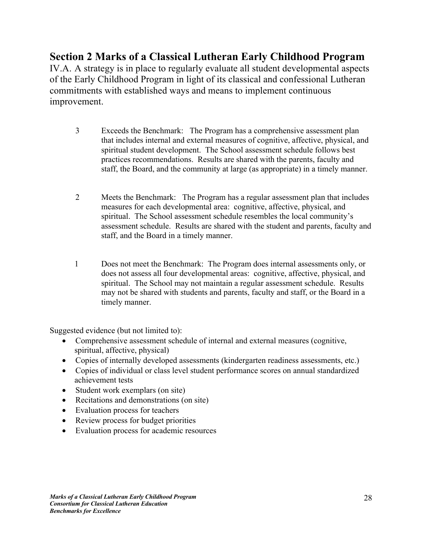IV.A. A strategy is in place to regularly evaluate all student developmental aspects of the Early Childhood Program in light of its classical and confessional Lutheran commitments with established ways and means to implement continuous improvement.

- 3 Exceeds the Benchmark: The Program has a comprehensive assessment plan that includes internal and external measures of cognitive, affective, physical, and spiritual student development. The School assessment schedule follows best practices recommendations. Results are shared with the parents, faculty and staff, the Board, and the community at large (as appropriate) in a timely manner.
- 2 Meets the Benchmark: The Program has a regular assessment plan that includes measures for each developmental area: cognitive, affective, physical, and spiritual. The School assessment schedule resembles the local community's assessment schedule. Results are shared with the student and parents, faculty and staff, and the Board in a timely manner.
- 1 Does not meet the Benchmark: The Program does internal assessments only, or does not assess all four developmental areas: cognitive, affective, physical, and spiritual. The School may not maintain a regular assessment schedule. Results may not be shared with students and parents, faculty and staff, or the Board in a timely manner.

- Comprehensive assessment schedule of internal and external measures (cognitive, spiritual, affective, physical)
- Copies of internally developed assessments (kindergarten readiness assessments, etc.)
- Copies of individual or class level student performance scores on annual standardized achievement tests
- Student work exemplars (on site)
- Recitations and demonstrations (on site)
- Evaluation process for teachers
- Review process for budget priorities
- Evaluation process for academic resources